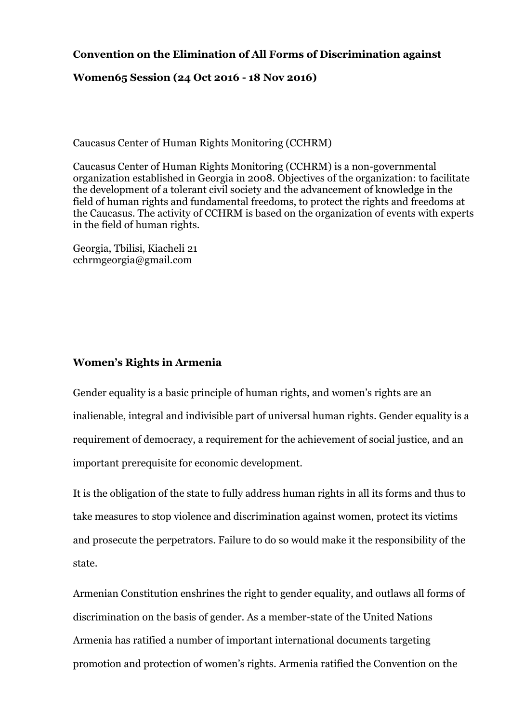# **Convention on the Elimination of All Forms of Discrimination against**

## **Women65 Session (24 Oct 2016 - 18 Nov 2016)**

Caucasus Center of Human Rights Monitoring (CCHRM)

Caucasus Center of Human Rights Monitoring (CCHRM) is a non-governmental organization established in Georgia in 2008. Objectives of the organization: to facilitate the development of a tolerant civil society and the advancement of knowledge in the field of human rights and fundamental freedoms, to protect the rights and freedoms at the Caucasus. The activity of CCHRM is based on the organization of events with experts in the field of human rights.

Georgia, Tbilisi, Kiacheli 21 cchrmgeorgia@gmail.com

### **Women's Rights in Armenia**

Gender equality is a basic principle of human rights, and women's rights are an inalienable, integral and indivisible part of universal human rights. Gender equality is a requirement of democracy, a requirement for the achievement of social justice, and an important prerequisite for economic development.

It is the obligation of the state to fully address human rights in all its forms and thus to take measures to stop violence and discrimination against women, protect its victims and prosecute the perpetrators. Failure to do so would make it the responsibility of the state.

Armenian Constitution enshrines the right to gender equality, and outlaws all forms of discrimination on the basis of gender. As a member-state of the United Nations Armenia has ratified a number of important international documents targeting promotion and protection of women's rights. Armenia ratified the Convention on the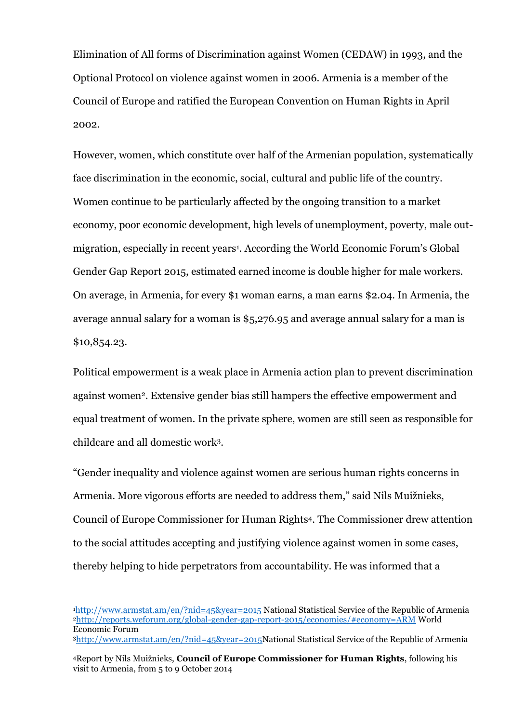Elimination of All forms of Discrimination against Women (CEDAW) in 1993, and the Optional Protocol on violence against women in 2006. Armenia is a member of the Council of Europe and ratified the European Convention on Human Rights in April 2002.

However, women, which constitute over half of the Armenian population, systematically face discrimination in the economic, social, cultural and public life of the country. Women continue to be particularly affected by the ongoing transition to a market economy, poor economic development, high levels of unemployment, poverty, male outmigration, especially in recent years<sup>1</sup>. According the World Economic Forum's Global Gender Gap Report 2015, estimated earned income is double higher for male workers. On average, in Armenia, for every \$1 woman earns, a man earns \$2.04. In Armenia, the average annual salary for a woman is \$5,276.95 and average annual salary for a man is \$10,854.23.

Political empowerment is a weak place in Armenia action plan to prevent discrimination against women2. Extensive gender bias still hampers the effective empowerment and equal treatment of women. In the private sphere, women are still seen as responsible for childcare and all domestic work3.

"Gender inequality and violence against women are serious human rights concerns in Armenia. More vigorous efforts are needed to address them," said Nils Muižnieks, Council of Europe Commissioner for Human Rights4. The Commissioner drew attention to the social attitudes accepting and justifying violence against women in some cases, thereby helping to hide perpetrators from accountability. He was informed that a

<u>.</u>

<sup>3</sup>[http://www.armstat.am/en/?nid=45&year=2015N](http://www.armstat.am/en/?nid=45&year=2015)ational Statistical Service of the Republic of Armenia

<sup>1</sup><http://www.armstat.am/en/?nid=45&year=2015> National Statistical Service of the Republic of Armenia <sup>2</sup><http://reports.weforum.org/global-gender-gap-report-2015/economies/#economy=ARM> World Economic Forum

<sup>4</sup>Report by Nils Muižnieks, **Council of Europe Commissioner for Human Rights**, following his visit to Armenia, from 5 to 9 October 2014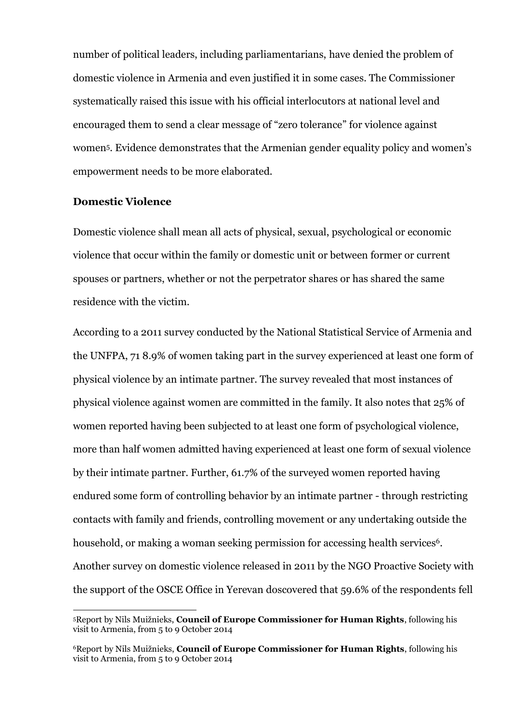number of political leaders, including parliamentarians, have denied the problem of domestic violence in Armenia and even justified it in some cases. The Commissioner systematically raised this issue with his official interlocutors at national level and encouraged them to send a clear message of "zero tolerance" for violence against women5. Evidence demonstrates that the Armenian gender equality policy and women's empowerment needs to be more elaborated.

### **Domestic Violence**

-

Domestic violence shall mean all acts of physical, sexual, psychological or economic violence that occur within the family or domestic unit or between former or current spouses or partners, whether or not the perpetrator shares or has shared the same residence with the victim.

According to a 2011 survey conducted by the National Statistical Service of Armenia and the UNFPA, 71 8.9% of women taking part in the survey experienced at least one form of physical violence by an intimate partner. The survey revealed that most instances of physical violence against women are committed in the family. It also notes that 25% of women reported having been subjected to at least one form of psychological violence, more than half women admitted having experienced at least one form of sexual violence by their intimate partner. Further, 61.7% of the surveyed women reported having endured some form of controlling behavior by an intimate partner - through restricting contacts with family and friends, controlling movement or any undertaking outside the household, or making a woman seeking permission for accessing health services<sup>6</sup>. Another survey on domestic violence released in 2011 by the NGO Proactive Society with the support of the OSCE Office in Yerevan doscovered that 59.6% of the respondents fell

<sup>5</sup>Report by Nils Muižnieks, **Council of Europe Commissioner for Human Rights**, following his visit to Armenia, from 5 to 9 October 2014

<sup>6</sup>Report by Nils Muižnieks, **Council of Europe Commissioner for Human Rights**, following his visit to Armenia, from 5 to 9 October 2014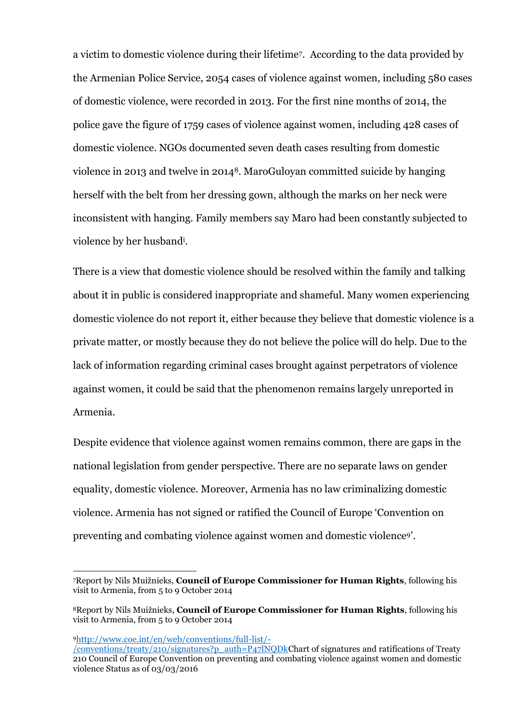a victim to domestic violence during their lifetime7. According to the data provided by the Armenian Police Service, 2054 cases of violence against women, including 580 cases of domestic violence, were recorded in 2013. For the first nine months of 2014, the police gave the figure of 1759 cases of violence against women, including 428 cases of domestic violence. NGOs documented seven death cases resulting from domestic violence in 2013 and twelve in 20148. MaroGuloyan committed suicide by hanging herself with the belt from her dressing gown, although the marks on her neck were inconsistent with hanging. Family members say Maro had been constantly subjected to violence by her husband<sup>i</sup> .

There is a view that domestic violence should be resolved within the family and talking about it in public is considered inappropriate and shameful. Many women experiencing domestic violence do not report it, either because they believe that domestic violence is a private matter, or mostly because they do not believe the police will do help. Due to the lack of information regarding criminal cases brought against perpetrators of violence against women, it could be said that the phenomenon remains largely unreported in Armenia.

Despite evidence that violence against women remains common, there are gaps in the national legislation from gender perspective. There are no separate laws on gender equality, domestic violence. Moreover, Armenia has no law criminalizing domestic violence. Armenia has not signed or ratified the Council of Europe 'Convention on preventing and combating violence against women and domestic violence9'.

<sup>9</sup>[http://www.coe.int/en/web/conventions/full-list/-](http://www.coe.int/en/web/conventions/full-list/-/conventions/treaty/210/signatures?p_auth=P47lNQDk)

<u>.</u>

<sup>7</sup>Report by Nils Muižnieks, **Council of Europe Commissioner for Human Rights**, following his visit to Armenia, from 5 to 9 October 2014

<sup>8</sup>Report by Nils Muižnieks, **Council of Europe Commissioner for Human Rights**, following his visit to Armenia, from 5 to 9 October 2014

[<sup>/</sup>conventions/treaty/210/signatures?p\\_auth=P47lNQDkC](http://www.coe.int/en/web/conventions/full-list/-/conventions/treaty/210/signatures?p_auth=P47lNQDk)hart of signatures and ratifications of Treaty 210 Council of Europe Convention on preventing and combating violence against women and domestic violence Status as of 03/03/2016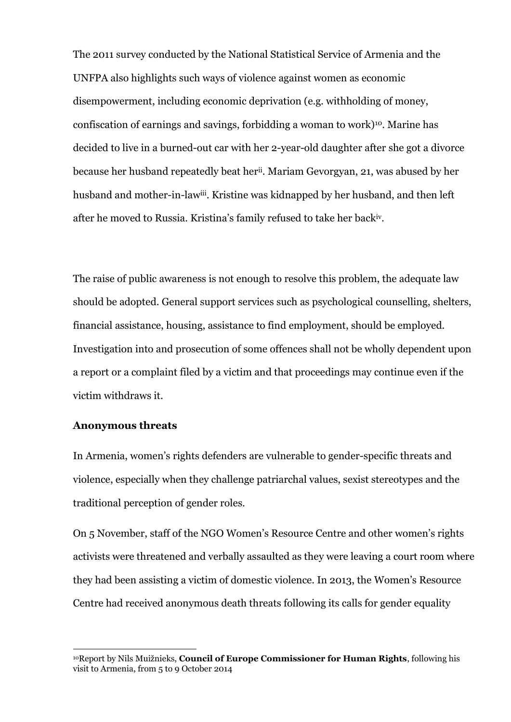The 2011 survey conducted by the National Statistical Service of Armenia and the UNFPA also highlights such ways of violence against women as economic disempowerment, including economic deprivation (e.g. withholding of money, confiscation of earnings and savings, forbidding a woman to work)10. Marine has decided to live in a burned-out car with her 2-year-old daughter after she got a divorce because her husband repeatedly beat herii . Mariam Gevorgyan, 21, was abused by her husband and mother-in-law<sup>iii</sup>. Kristine was kidnapped by her husband, and then left after he moved to Russia. Kristina's family refused to take her backiv .

The raise of public awareness is not enough to resolve this problem, the adequate law should be adopted. General support services such as psychological counselling, shelters, financial assistance, housing, assistance to find employment, should be employed. Investigation into and prosecution of some offences shall not be wholly dependent upon a report or a complaint filed by a victim and that proceedings may continue even if the victim withdraws it.

#### **Anonymous threats**

<u>.</u>

In Armenia, women's rights defenders are vulnerable to gender-specific threats and violence, especially when they challenge patriarchal values, sexist stereotypes and the traditional perception of gender roles.

On 5 November, staff of the NGO Women's Resource Centre and other women's rights activists were threatened and verbally assaulted as they were leaving a court room where they had been assisting a victim of domestic violence. In 2013, the Women's Resource Centre had received anonymous death threats following its calls for gender equality

<sup>10</sup>Report by Nils Muižnieks, **Council of Europe Commissioner for Human Rights**, following his visit to Armenia, from 5 to 9 October 2014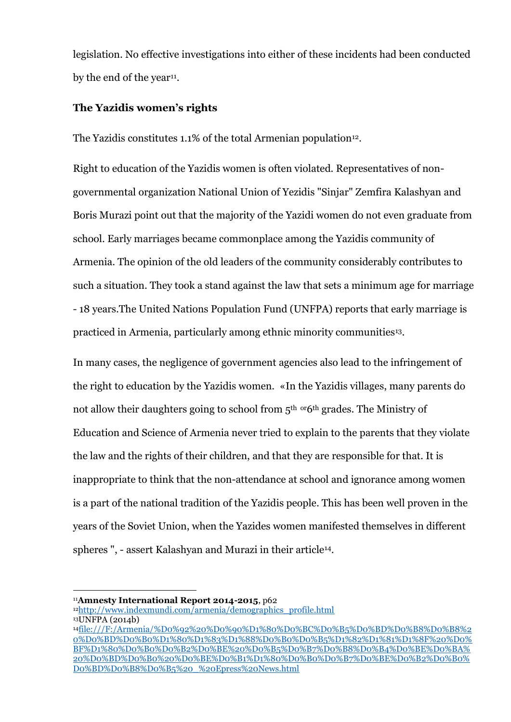legislation. No effective investigations into either of these incidents had been conducted by the end of the year<sup>11</sup>.

## **The Yazidis women's rights**

The Yazidis constitutes 1.1% of the total Armenian population<sup>12</sup>.

Right to education of the Yazidis women is often violated. Representatives of nongovernmental organization National Union of Yezidis "Sinjar" Zemfira Kalashyan and Boris Murazi point out that the majority of the Yazidi women do not even graduate from school. Early marriages became commonplace among the Yazidis community of Armenia. The opinion of the old leaders of the community considerably contributes to such a situation. They took a stand against the law that sets a minimum age for marriage - 18 years.The United Nations Population Fund (UNFPA) reports that early marriage is practiced in Armenia, particularly among ethnic minority communities13.

In many cases, the negligence of government agencies also lead to the infringement of the right to education by the Yazidis women. «In the Yazidis villages, many parents do not allow their daughters going to school from 5<sup>th or</sup>6<sup>th</sup> grades. The Ministry of Education and Science of Armenia never tried to explain to the parents that they violate the law and the rights of their children, and that they are responsible for that. It is inappropriate to think that the non-attendance at school and ignorance among women is a part of the national tradition of the Yazidis people. This has been well proven in the years of the Soviet Union, when the Yazides women manifested themselves in different spheres ", - assert Kalashyan and Murazi in their article14.

<sup>&</sup>lt;u>.</u> <sup>11</sup>**Amnesty International Report 2014-2015**, p62

<sup>12</sup>[http://www.indexmundi.com/armenia/demographics\\_profile.html](http://www.indexmundi.com/armenia/demographics_profile.html) <sup>13</sup>UNFPA (2014b)

<sup>14</sup>[file:///F:/Armenia/%D0%92%20%D0%90%D1%80%D0%BC%D0%B5%D0%BD%D0%B8%D0%B8%2](file:///F:/Armenia/Ð%20ÐÑÐ¼ÐµÐ½Ð¸Ð¸%20Ð½Ð°ÑÑÑÐ°ÐµÑÑÑ%20Ð¿ÑÐ°Ð²Ð¾%20ÐµÐ·Ð¸Ð´Ð¾Ðº%20Ð½Ð°%20Ð¾Ð±ÑÐ°Ð·Ð¾Ð²Ð°Ð½Ð¸Ðµ%20_%20Epress%20News.html) [0%D0%BD%D0%B0%D1%80%D1%83%D1%88%D0%B0%D0%B5%D1%82%D1%81%D1%8F%20%D0%](file:///F:/Armenia/Ð%20ÐÑÐ¼ÐµÐ½Ð¸Ð¸%20Ð½Ð°ÑÑÑÐ°ÐµÑÑÑ%20Ð¿ÑÐ°Ð²Ð¾%20ÐµÐ·Ð¸Ð´Ð¾Ðº%20Ð½Ð°%20Ð¾Ð±ÑÐ°Ð·Ð¾Ð²Ð°Ð½Ð¸Ðµ%20_%20Epress%20News.html) [BF%D1%80%D0%B0%D0%B2%D0%BE%20%D0%B5%D0%B7%D0%B8%D0%B4%D0%BE%D0%BA%](file:///F:/Armenia/Ð%20ÐÑÐ¼ÐµÐ½Ð¸Ð¸%20Ð½Ð°ÑÑÑÐ°ÐµÑÑÑ%20Ð¿ÑÐ°Ð²Ð¾%20ÐµÐ·Ð¸Ð´Ð¾Ðº%20Ð½Ð°%20Ð¾Ð±ÑÐ°Ð·Ð¾Ð²Ð°Ð½Ð¸Ðµ%20_%20Epress%20News.html) [20%D0%BD%D0%B0%20%D0%BE%D0%B1%D1%80%D0%B0%D0%B7%D0%BE%D0%B2%D0%B0%](file:///F:/Armenia/Ð%20ÐÑÐ¼ÐµÐ½Ð¸Ð¸%20Ð½Ð°ÑÑÑÐ°ÐµÑÑÑ%20Ð¿ÑÐ°Ð²Ð¾%20ÐµÐ·Ð¸Ð´Ð¾Ðº%20Ð½Ð°%20Ð¾Ð±ÑÐ°Ð·Ð¾Ð²Ð°Ð½Ð¸Ðµ%20_%20Epress%20News.html) [D0%BD%D0%B8%D0%B5%20\\_%20Epress%20News.html](file:///F:/Armenia/Ð%20ÐÑÐ¼ÐµÐ½Ð¸Ð¸%20Ð½Ð°ÑÑÑÐ°ÐµÑÑÑ%20Ð¿ÑÐ°Ð²Ð¾%20ÐµÐ·Ð¸Ð´Ð¾Ðº%20Ð½Ð°%20Ð¾Ð±ÑÐ°Ð·Ð¾Ð²Ð°Ð½Ð¸Ðµ%20_%20Epress%20News.html)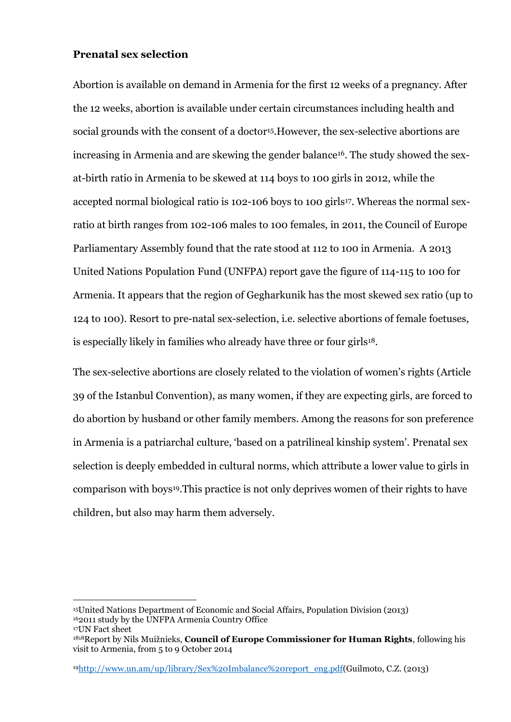## **Prenatal sex selection**

<u>.</u>

Abortion is available on demand in Armenia for the first 12 weeks of a pregnancy. After the 12 weeks, abortion is available under certain circumstances including health and social grounds with the consent of a doctor<sup>15</sup>. However, the sex-selective abortions are increasing in Armenia and are skewing the gender balance<sup>16</sup>. The study showed the sexat-birth ratio in Armenia to be skewed at 114 boys to 100 girls in 2012, while the accepted normal biological ratio is 102-106 boys to 100 girls<sup>17</sup>. Whereas the normal sexratio at birth ranges from 102-106 males to 100 females, in 2011, the Council of Europe Parliamentary Assembly found that the rate stood at 112 to 100 in Armenia. A 2013 United Nations Population Fund (UNFPA) report gave the figure of 114-115 to 100 for Armenia. It appears that the region of Gegharkunik has the most skewed sex ratio (up to 124 to 100). Resort to pre-natal sex-selection, i.e. selective abortions of female foetuses, is especially likely in families who already have three or four girls<sup>18</sup>.

The sex-selective abortions are closely related to the violation of women's rights (Article 39 of the Istanbul Convention), as many women, if they are expecting girls, are forced to do abortion by husband or other family members. Among the reasons for son preference in Armenia is a patriarchal culture, 'based on a patrilineal kinship system'. Prenatal sex selection is deeply embedded in cultural norms, which attribute a lower value to girls in comparison with boys19.This practice is not only deprives women of their rights to have children, but also may harm them adversely.

19[http://www.un.am/up/library/Sex%20Imbalance%20report\\_eng.pdf\(](http://www.un.am/up/library/Sex%20Imbalance%20report_eng.pdf)Guilmoto, C.Z. (2013)

<sup>15</sup>United Nations Department of Economic and Social Affairs, Population Division (2013) <sup>16</sup>2011 study by the UNFPA Armenia Country Office <sup>17</sup>UN Fact sheet

<sup>1818</sup>Report by Nils Muižnieks, **Council of Europe Commissioner for Human Rights**, following his visit to Armenia, from 5 to 9 October 2014